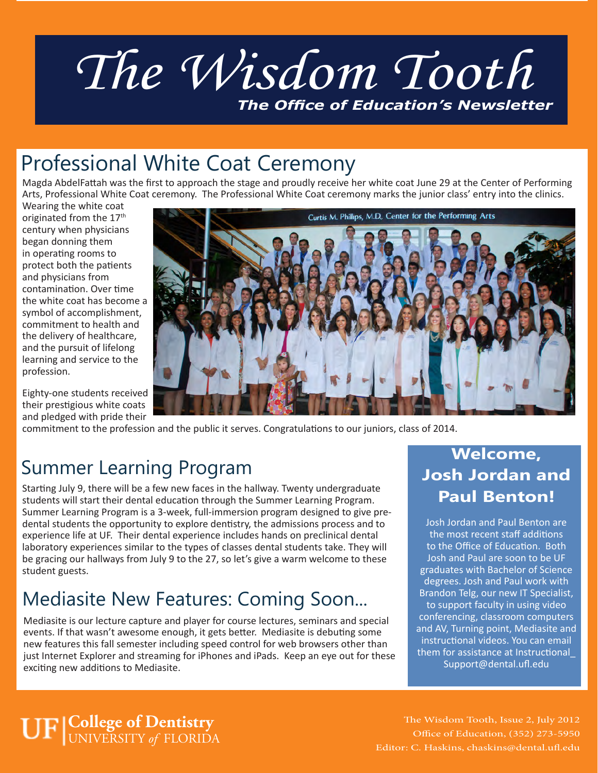# *The Wisdom Tooth The Office of Education's Newsletter*

## Professional White Coat Ceremony

Magda AbdelFattah was the first to approach the stage and proudly receive her white coat June 29 at the Center of Performing Arts, Professional White Coat ceremony. The Professional White Coat ceremony marks the junior class' entry into the clinics.

Wearing the white coat originated from the 17<sup>th</sup> century when physicians began donning them in operating rooms to protect both the patients and physicians from contamination. Over time the white coat has become a symbol of accomplishment, commitment to health and the delivery of healthcare, and the pursuit of lifelong learning and service to the profession.

Eighty-one students received their prestigious white coats and pledged with pride their



commitment to the profession and the public it serves. Congratulations to our juniors, class of 2014.

#### Summer Learning Program

Starting July 9, there will be a few new faces in the hallway. Twenty undergraduate students will start their dental education through the Summer Learning Program. Summer Learning Program is a 3-week, full-immersion program designed to give predental students the opportunity to explore dentistry, the admissions process and to experience life at UF. Their dental experience includes hands on preclinical dental laboratory experiences similar to the types of classes dental students take. They will be gracing our hallways from July 9 to the 27, so let's give a warm welcome to these student guests.

#### Mediasite New Features: Coming Soon...

Mediasite is our lecture capture and player for course lectures, seminars and special events. If that wasn't awesome enough, it gets better. Mediasite is debuting some new features this fall semester including speed control for web browsers other than just Internet Explorer and streaming for iPhones and iPads. Keep an eye out for these exciting new additions to Mediasite.

#### **Welcome, Josh Jordan and Paul Benton!**

Josh Jordan and Paul Benton are the most recent staff additions to the Office of Education. Both Josh and Paul are soon to be UF graduates with Bachelor of Science degrees. Josh and Paul work with Brandon Telg, our new IT Specialist, to support faculty in using video conferencing, classroom computers and AV, Turning point, Mediasite and instructional videos. You can email them for assistance at Instructional\_ Support@dental.ufl.edu

#### **College of Dentistry** UNIVERSITY *of* FLORIDA

The Wisdom Tooth, Issue 2, July 2012 Office of Education, (352) 273-5950 Editor: C. Haskins, chaskins@dental.ufl.edu